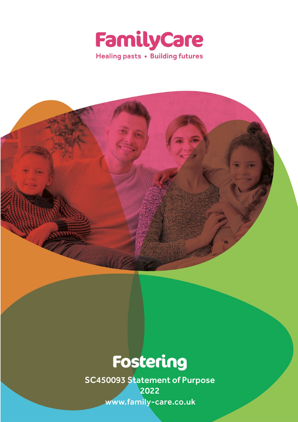



# Fostering

SC450093 Statement of Purpose 2022www.family-care.co.uk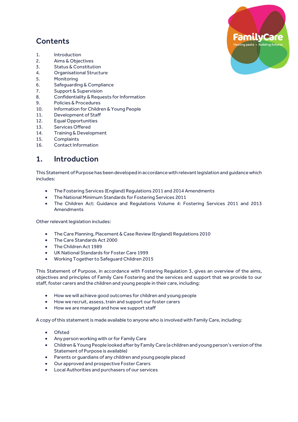## **Contents**

- 1. Introduction
- 2. Aims & Objectives
- 3. Status & Constitution
- 4. Organisational Structure
- 5. Monitoring
- 6. Safeguarding & Compliance
- 7. Support & Supervision
- 8. Confidentiality & Requests for Information
- 9. Policies & Procedures
- 10. Information for Children & Young People
- 11. Development of Staff
- 12. Equal Opportunities
- 13. Services Offered
- 14. Training & Development
- 15. Complaints
- 16. Contact Information

#### 1. Introduction

This Statement of Purpose has been developed in accordance with relevant legislation and guidance which includes:

- The Fostering Services (England) Regulations 2011 and 2014 Amendments
- The National Minimum Standards for Fostering Services 2011
- The Children Act: Guidance and Regulations Volume 4: Fostering Services 2011 and 2013 Amendments

Other relevant legislation includes:

- The Care Planning, Placement & Case Review (England) Regulations 2010
- The Care Standards Act 2000
- The Children Act 1989
- UK National Standards for Foster Care 1999
- Working Together to Safeguard Children 2015

This Statement of Purpose, in accordance with Fostering Regulation 3, gives an overview of the aims, objectives and principles of Family Care Fostering and the services and support that we provide to our staff, foster carers and the children and young people in their care, including:

- How we will achieve good outcomes for children and young people
- How we recruit, assess, train and support our foster carers
- How we are managed and how we support staff

A copy of this statement is made available to anyone who is involved with Family Care, including:

- Ofsted
- Any person working with or for Family Care
- Children & Young People looked after by Family Care (a children and young person's version of the Statement of Purpose is available)
- Parents or guardians of any children and young people placed
- Our approved and prospective Foster Carers
- Local Authorities and purchasers of our services

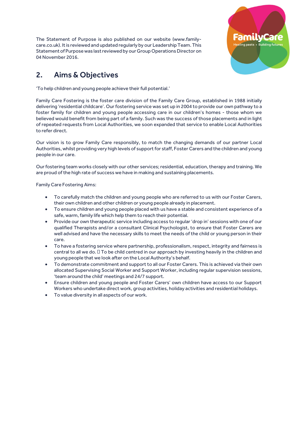The Statement of Purpose is also published on our website (www.familycare.co.uk). It is reviewed and updated regularly by our Leadership Team. This Statement of Purpose was last reviewed by our Group Operations Director on 04 November 2016.



# 2. Aims & Objectives

'To help children and young people achieve their full potential.'

Family Care Fostering is the foster care division of the Family Care Group, established in 1988 initially delivering 'residential childcare'. Our fostering service was set up in 2004 to provide our own pathway to a foster family for children and young people accessing care in our children's homes - those whom we believed would benefit from being part of a family. Such was the success of those placements and in light of repeated requests from Local Authorities, we soon expanded that service to enable Local Authorities to refer direct.

Our vision is to grow Family Care responsibly, to match the changing demands of our partner Local Authorities, whilst providing very high levels of support for staff, Foster Carers and the children and young people in our care.

Our fostering team works closely with our other services; residential, education, therapy and training. We are proud of the high rate of success we have in making and sustaining placements.

Family Care Fostering Aims:

- To carefully match the children and young people who are referred to us with our Foster Carers, their own children and other children or young people already in placement.
- To ensure children and young people placed with us have a stable and consistent experience of a safe, warm, family life which help them to reach their potential.
- Provide our own therapeutic service including access to regular 'drop in' sessions with one of our qualified Therapists and/or a consultant Clinical Psychologist, to ensure that Foster Carers are well advised and have the necessary skills to meet the needs of the child or young person in their care.
- To have a fostering service where partnership, professionalism, respect, integrity and fairness is central to all we do. To be child centred in our approach by investing heavily in the children and young people that we look after on the Local Authority's behalf.
- To demonstrate commitment and support to all our Foster Carers. This is achieved via their own allocated Supervising Social Worker and Support Worker, including regular supervision sessions, 'team around the child' meetings and 24/7 support.
- Ensure children and young people and Foster Carers' own children have access to our Support Workers who undertake direct work, group activities, holiday activities and residential holidays.
- To value diversity in all aspects of our work.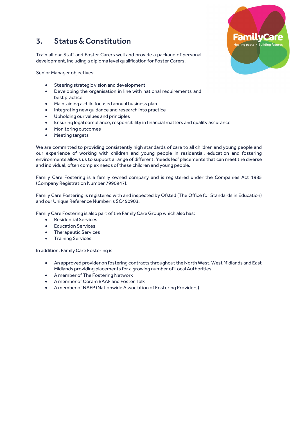#### 3. Status & Constitution

Train all our Staff and Foster Carers well and provide a package of personal development, including a diploma level qualification for Foster Carers.

Senior Manager objectives:

- Steering strategic vision and development
- Developing the organisation in line with national requirements and best practice
- Maintaining a child focused annual business plan
- Integrating new guidance and research into practice
- Upholding our values and principles
- Ensuring legal compliance, responsibility in financial matters and quality assurance
- Monitoring outcomes
- Meeting targets

We are committed to providing consistently high standards of care to all children and young people and our experience of working with children and young people in residential, education and fostering environments allows us to support a range of different, 'needs led' placements that can meet the diverse and individual, often complex needs of these children and young people.

Family Care Fostering is a family owned company and is registered under the Companies Act 1985 (Company Registration Number 7990947).

Family Care Fostering is registered with and inspected by Ofsted (The Office for Standards in Education) and our Unique Reference Number is SC450903.

Family Care Fostering is also part of the Family Care Group which also has:

- Residential Services
- Education Services
- Therapeutic Services
- Training Services

In addition, Family Care Fostering is:

- An approved provider on fostering contracts throughout the North West, West Midlands and East Midlands providing placements for a growing number of Local Authorities
- A member of The Fostering Network
- A member of Coram BAAF and Foster Talk
- A member of NAFP (Nationwide Association of Fostering Providers)

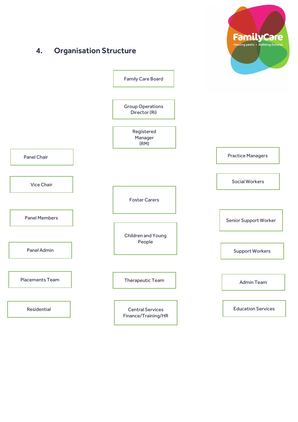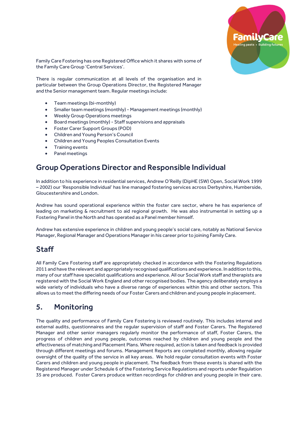

Family Care Fostering has one Registered Office which it shares with some of the Family Care Group 'Central Services'.

There is regular communication at all levels of the organisation and in particular between the Group Operations Director, the Registered Manager and the Senior management team. Regular meetings include:

- Team meetings (bi-monthly)
- Smaller team meetings (monthly) Management meetings (monthly)
- Weekly Group Operations meetings
- Board meetings (monthly) Staff supervisions and appraisals
- Foster Carer Support Groups (POD)
- Children and Young Person's Council
- Children and Young Peoples Consultation Events
- Training events
- Panel meetings

#### Group Operations Director and Responsible Individual

In addition to his experience in residential services, Andrew O'Reilly (DipHE (SW) Open, Social Work 1999 – 2002) our 'Responsible Individual' has line managed fostering services across Derbyshire, Humberside, Gloucestershire and London.

Andrew has sound operational experience within the foster care sector, where he has experience of leading on marketing & recruitment to aid regional growth. He was also instrumental in setting up a Fostering Panel in the North and has operated as a Panel member himself.

Andrew has extensive experience in children and young people's social care, notably as National Service Manager, Regional Manager and Operations Manager in his career prior to joining Family Care.

#### Staff

All Family Care Fostering staff are appropriately checked in accordance with the Fostering Regulations 2011 and have the relevant and appropriately recognised qualifications and experience. In addition to this, many of our staff have specialist qualifications and experience. All our Social Work staff and therapists are registered with the Social Work England and other recognised bodies. The agency deliberately employs a wide variety of individuals who have a diverse range of experiences within this and other sectors. This allows us to meet the differing needs of our Foster Carers and children and young people in placement.

#### 5. Monitoring

The quality and performance of Family Care Fostering is reviewed routinely. This includes internal and external audits, questionnaires and the regular supervision of staff and Foster Carers. The Registered Manager and other senior managers regularly monitor the performance of staff, Foster Carers, the progress of children and young people, outcomes reached by children and young people and the effectiveness of matching and Placement Plans. Where required, action is taken and feedback is provided through different meetings and forums. Management Reports are completed monthly, allowing regular oversight of the quality of the service in all key areas. We hold regular consultation events with Foster Carers and children and young people in placement. The feedback from these events is shared with the Registered Manager under Schedule 6 of the Fostering Service Regulations and reports under Regulation 35 are produced. Foster Carers produce written recordings for children and young people in their care.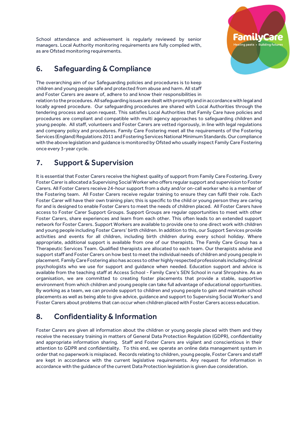School attendance and achievement is regularly reviewed by senior managers. Local Authority monitoring requirements are fully complied with, as are Ofsted monitoring requirements.



#### 6. Safeguarding & Compliance

The overarching aim of our Safeguarding policies and procedures is to keep children and young people safe and protected from abuse and harm. All staff and Foster Carers are aware of, adhere to and know their responsibilities in

relation to the procedures. All safeguarding issues are dealt with promptly and in accordance with legal and locally agreed procedure. Our safeguarding procedures are shared with Local Authorities through the tendering process and upon request. This satisfies Local Authorities that Family Care have policies and procedures are compliant and compatible with multi agency approaches to safeguarding children and young people. All staff, volunteers and Foster Carers are vetted rigorously, in line with legal regulations and company policy and procedures. Family Care Fostering meet all the requirements of the Fostering Services (England) Regulations 2011 and Fostering Services National Minimum Standards. Our compliance with the above legislation and guidance is monitored by Ofsted who usually inspect Family Care Fostering once every 3-year cycle.

#### 7. Support & Supervision

It is essential that Foster Carers receive the highest quality of support from Family Care Fostering. Every Foster Carer is allocated a Supervising Social Worker who offers regular support and supervision to Foster Carers. All Foster Carers receive 24-hour support from a duty and/or on-call worker who is a member of the Fostering team. All Foster Carers receive regular training to ensure they can fulfil their role. Each Foster Carer will have their own training plan; this is specific to the child or young person they are caring for and is designed to enable Foster Carers to meet the needs of children placed. All Foster Carers have access to Foster Carer Support Groups. Support Groups are regular opportunities to meet with other Foster Carers, share experiences and learn from each other. This often leads to an extended support network for Foster Carers. Support Workers are available to provide one to one direct work with children and young people including Foster Carers' birth children. In addition to this, our Support Services provide activities and events for all children, including birth children during every school holiday. Where appropriate, additional support is available from one of our therapists. The Family Care Group has a Therapeutic Services Team. Qualified therapists are allocated to each team. Our therapists advise and support staff and Foster Carers on how best to meet the individual needs of children and young people in placement. Family Care Fostering also has access to other highly respected professionals including clinical psychologists who we use for support and guidance when needed. Education support and advice is available from the teaching staff at Access School - Family Care's SEN School in rural Shropshire. As an organisation, we are committed to creating foster placements that provide a stable, supportive environment from which children and young people can take full advantage of educational opportunities. By working as a team, we can provide support to children and young people to gain and maintain school placements as well as being able to give advice, guidance and support to Supervising Social Worker's and Foster Carers about problems that can occur when children placed with Foster Carers access education.

## 8. Confidentiality & Information

Foster Carers are given all information about the children or young people placed with them and they receive the necessary training in matters of General Data Protection Regulation (GDPR), confidentiality and appropriate information sharing. Staff and Foster Carers are vigilant and conscientious in their attention to GDPR and confidentiality. To this end, we operate an online data management system in order that no paperwork is misplaced. Records relating to children, young people, Foster Carers and staff are kept in accordance with the current legislative requirements. Any request for information in accordance with the guidance ofthe current Data Protection legislation is given due consideration.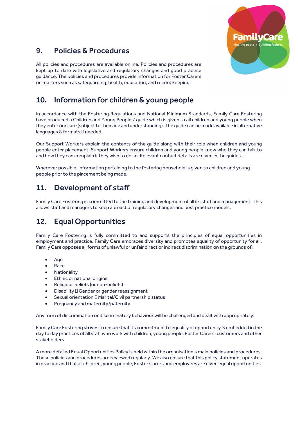

## 9. Policies & Procedures

All policies and procedures are available online. Policies and procedures are kept up to date with legislative and regulatory changes and good practice guidance. The policies and procedures provide information for Foster Carers on matters such as safeguarding, health, education, and record keeping.

#### 10. Information for children & young people

In accordance with the Fostering Regulations and National Minimum Standards, Family Care Fostering have produced a Children and Young Peoples' guide which is given to all children and young people when they enter our care (subject to their age and understanding). The guide can be made available in alternative languages & formats if needed.

Our Support Workers explain the contents of the guide along with their role when children and young people enter placement. Support Workers ensure children and young people know who they can talk to and how they can complain if they wish to do so. Relevant contact details are given in the guides.

Wherever possible, information pertaining to the fostering household is given to children and young people prior to the placement being made.

#### 11. Development of staff

Family Care Fostering is committed to the training and development of all its staff and management. This allows staff and managers to keep abreast of regulatory changes and best practice models.

## 12. Equal Opportunities

Family Care Fostering is fully committed to and supports the principles of equal opportunities in employment and practice. Family Care embraces diversity and promotes equality of opportunity for all. Family Care opposes all forms of unlawful or unfair direct or indirect discrimination on the grounds of:

- Age
- Race
- Nationality
- Ethnic or national origins
- Religious beliefs (or non-beliefs)
- Disability Gender or gender reassignment
- Sexual orientation Marital/Civil partnership status
- Pregnancy and maternity/paternity

Any form of discrimination or discriminatory behaviour will be challenged and dealt with appropriately.

Family Care Fostering strives to ensure that its commitment to equality of opportunity is embedded in the day to day practices of all staff who work with children, young people, Foster Carers, customers and other stakeholders.

A more detailed Equal Opportunities Policy is held within the organisation's main policies and procedures. These policies and procedures are reviewed regularly. We also ensure that this policy statement operates in practice and that all children, young people, Foster Carers and employees are given equal opportunities.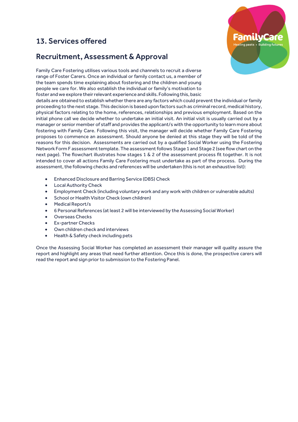#### 13. Services offered

#### Recruitment, Assessment & Approval

Family Care Fostering utilises various tools and channels to recruit a diverse range of Foster Carers. Once an individual or family contact us, a member of the team spends time explaining about fostering and the children and young people we care for. We also establish the individual or family's motivation to foster and we explore their relevant experience and skills. Following this, basic

details are obtained to establish whether there are any factors which could prevent the individual or family proceeding to the next stage. This decision is based upon factors such as criminal record, medical history, physical factors relating to the home, references, relationships and previous employment. Based on the initial phone call we decide whether to undertake an initial visit. An initial visit is usually carried out by a manager or senior member of staff and provides the applicant/s with the opportunity to learn more about fostering with Family Care. Following this visit, the manager will decide whether Family Care Fostering proposes to commence an assessment. Should anyone be denied at this stage they will be told of the reasons for this decision. Assessments are carried out by a qualified Social Worker using the Fostering Network Form F assessment template. The assessment follows Stage 1 and Stage 2 (see flow chart on the next page). The flowchart illustrates how stages 1 & 2 of the assessment process fit together. It is not intended to cover all actions Family Care Fostering must undertake as part of the process. During the assessment, the following checks and references will be undertaken (this is not an exhaustive list):

- Enhanced Disclosure and Barring Service (DBS) Check
- Local Authority Check
- Employment Check (including voluntary work and any work with children or vulnerable adults)
- School or Health Visitor Check (own children)
- Medical Report/s
- 6 Personal References (at least 2 will be interviewed by the Assessing Social Worker)
- Overseas Checks
- Ex-partner Checks
- Own children check and interviews
- Health & Safety check including pets

Once the Assessing Social Worker has completed an assessment their manager will quality assure the report and highlight any areas that need further attention. Once this is done, the prospective carers will read the report and sign prior to submission to the Fostering Panel.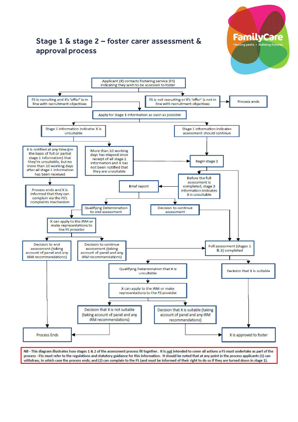



**FamilyCare** Healing pasts . Building futures

NB - This diagram illustrates how stages 1 & 2 of the assessment process fit together. It is not intended to cover all actions a FS must undertake as part of the process - FSs must refer to the regulations and statutory guidance for this information. It should be noted that at any point in the process applicants (1) can withdraw, in which case the process ends; and (2) can complain to the FS (and must be informed of their right to do so if they are turned down in stage 1).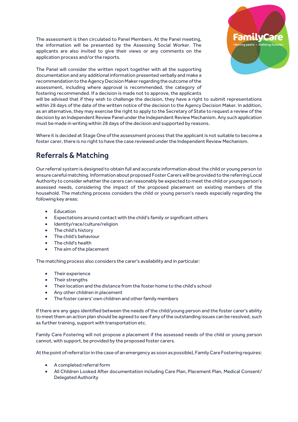The assessment is then circulated to Panel Members. At the Panel meeting, the information will be presented by the Assessing Social Worker. The applicants are also invited to give their views or any comments on the application process and/or the reports.



will be advised that if they wish to challenge the decision, they have a right to submit representations within 28 days of the date of the written notice of the decision to the Agency Decision Maker. In addition, as an alternative, they may exercise the right to apply to the Secretary of State to request a review of the decision by an Independent Review Panel under the Independent Review Mechanism. Any such application must be made in writing within 28 days of the decision and supported by reasons.

Where it is decided at Stage One of the assessment process that the applicant is not suitable to become a foster carer, there is no right to have the case reviewed under the Independent Review Mechanism.

## Referrals & Matching

Our referral system is designed to obtain full and accurate information about the child or young person to ensure careful matching. Information about proposed Foster Carers will be provided to the referring Local Authority to consider whether the carers can reasonably be expected to meet the child or young person's assessed needs, considering the impact of the proposed placement on existing members of the household. The matching process considers the child or young person's needs especially regarding the following key areas:

- Education
- Expectations around contact with the child's family or significant others
- Identity/race/culture/religion
- The child's history
- The child's behaviour
- The child's health
- The aim of the placement

The matching process also considers the carer's availability and in particular:

- Their experience
- Their strengths
- Their location and the distance from the foster home to the child's school
- Any other children in placement
- The foster carers' own children and other family members

If there are any gaps identified between the needs of the child/young person and the foster carer's ability to meet them an action plan should be agreed to see if any of the outstanding issues can be resolved, such as further training, support with transportation etc.

Family Care Fostering will not propose a placement if the assessed needs of the child or young person cannot, with support, be provided by the proposed foster carers.

At the point of referral (or in the case of an emergency as soon as possible), Family Care Fostering requires:

- A completed referral form
- All Children Looked After documentation including Care Plan, Placement Plan, Medical Consent/ Delegated Authority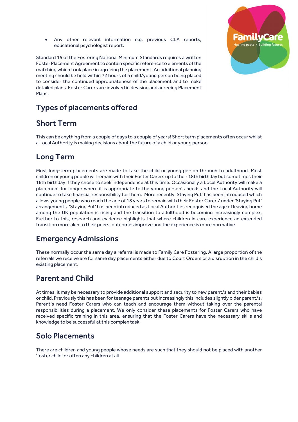Any other relevant information e.g. previous CLA reports, educational psychologist report.

Standard 15 of the Fostering National Minimum Standards requires a written Foster Placement Agreement to contain specific reference to elements of the matching which took place in agreeing the placement. An additional planning meeting should be held within 72 hours of a child/young person being placed to consider the continued appropriateness of the placement and to make detailed plans. Foster Carers are involved in devising and agreeing Placement Plans.



## Short Term

This can be anything from a couple of days to a couple of years! Short term placements often occur whilst a Local Authority is making decisions about the future of a child or young person.

## Long Term

Most long-term placements are made to take the child or young person through to adulthood. Most children or young people will remain with their Foster Carers up to their 18th birthday but sometimes their 16th birthday if they chose to seek independence at this time. Occasionally a Local Authority will make a placement for longer where it is appropriate to the young person's needs and the Local Authority will continue to take financial responsibility for them. More recently 'Staying Put' has been introduced which allows young people who reach the age of 18 years to remain with their Foster Carers' under 'Staying Put' arrangements. 'Staying Put' has been introduced as Local Authorities recognised the age of leaving home among the UK population is rising and the transition to adulthood is becoming increasingly complex. Further to this, research and evidence highlights that where children in care experience an extended transition more akin to their peers, outcomes improve and the experience is more normative.

#### Emergency Admissions

These normally occur the same day a referral is made to Family Care Fostering. A large proportion of the referrals we receive are for same day placements either due to Court Orders or a disruption in the child's existing placement.

## Parent and Child

At times, it may be necessary to provide additional support and security to new parent/s and their babies or child. Previously this has been for teenage parents but increasingly this includes slightly older parent/s. Parent's need Foster Carers who can teach and encourage them without taking over the parental responsibilities during a placement. We only consider these placements for Foster Carers who have received specific training in this area, ensuring that the Foster Carers have the necessary skills and knowledge to be successful at this complex task.

#### Solo Placements

There are children and young people whose needs are such that they should not be placed with another 'foster child' or often any children at all.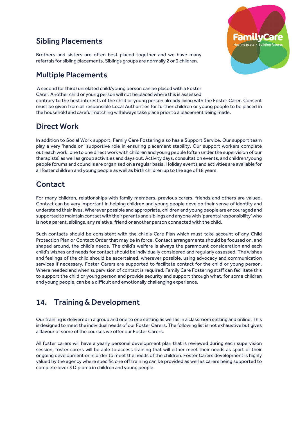#### Sibling Placements



Brothers and sisters are often best placed together and we have many referrals for sibling placements. Siblings groups are normally 2 or 3 children.

#### Multiple Placements

A second (or third) unrelated child/young person can be placed with a Foster Carer. Another child or young person will not be placed where this is assessed contrary to the best interests of the child or young person already living with the Foster Carer. Consent must be given from all responsible Local Authorities for further children or young people to be placed in the household and careful matching will always take place prior to a placement being made.

## Direct Work

In addition to Social Work support, Family Care Fostering also has a Support Service. Our support team play a very 'hands on' supportive role in ensuring placement stability. Our support workers complete outreach work, one to one direct work with children and young people (often under the supervision of our therapists) as well as group activities and days out. Activity days, consultation events, and children/young people forums and councils are organised on a regular basis. Holiday events and activities are available for all foster children and young people as well as birth children up to the age of 18 years.

# **Contact**

For many children, relationships with family members, previous carers, friends and others are valued. Contact can be very important in helping children and young people develop their sense of identity and understand their lives. Wherever possible and appropriate, children and young people are encouraged and supported to maintain contact with their parents and siblings and anyone with 'parental responsibility' who is not a parent, siblings, any relative, friend or another person connected with the child.

Such contacts should be consistent with the child's Care Plan which must take account of any Child Protection Plan or Contact Order that may be in force. Contact arrangements should be focused on, and shaped around, the child's needs. The child's welfare is always the paramount consideration and each child's wishes and needs for contact should be individually considered and regularly assessed. The wishes and feelings of the child should be ascertained, wherever possible, using advocacy and communication services if necessary. Foster Carers are supported to facilitate contact for the child or young person. Where needed and when supervision of contact is required, Family Care Fostering staff can facilitate this to support the child or young person and provide security and support through what, for some children and young people, can be a difficult and emotionally challenging experience.

## 14. Training & Development

Our training is delivered in a group and one to one setting as well as in a classroom setting and online. This is designed to meet the individual needs of our Foster Carers. The following list is not exhaustive but gives a flavour of some of the courses we offer our Foster Carers.

All foster carers will have a yearly personal development plan that is reviewed during each supervision session, foster carers will be able to access training that will either meet their needs as spart of their ongoing development or in order to meet the needs of the children. Foster Carers development is highly valued by the agency where specific one off training can be provided as well as carers being supported to complete lever 3 Diploma in children and young people.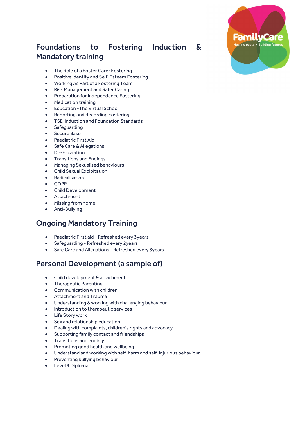# Foundations to Fostering Induction & Mandatory training

- The Role of a Foster Carer Fostering
- Positive Identity and Self-Esteem Fostering
- Working As Part of a Fostering Team
- Risk Management and Safer Caring
- Preparation for Independence Fostering
- Medication training
- Education -The Virtual School
- Reporting and Recording Fostering
- TSD Induction and Foundation Standards
- Safeguarding
- Secure Base
- Paediatric First Aid
- Safe Care & Allegations
- De-Escalation
- Transitions and Endings
- Managing Sexualised behaviours
- Child Sexual Exploitation
- Radicalisation
- GDPR
- Child Development
- Attachment
- Missing from home
- Anti-Bullying

#### Ongoing Mandatory Training

- Paediatric First aid Refreshed every 3years
- Safeguarding Refreshed every 2years
- Safe Care and Allegations Refreshed every 3years

#### Personal Development (a sample of)

- Child development & attachment
- Therapeutic Parenting
- Communication with children
- Attachment and Trauma
- Understanding & working with challenging behaviour
- Introduction to therapeutic services
- Life Story work
- Sex and relationship education
- Dealing with complaints, children's rights and advocacy
- Supporting family contact and friendships
- Transitions and endings
- Promoting good health and wellbeing
- Understand and working with self-harm and self-injurious behaviour
- Preventing bullying behaviour
- Level 3 Diploma

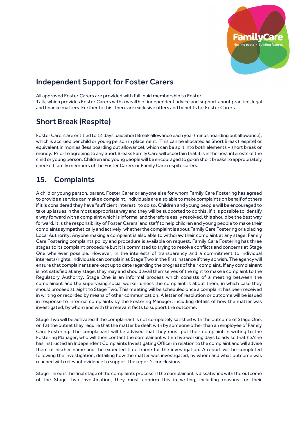

#### Independent Support for Foster Carers

All approved Foster Carers are provided with full, paid membership to Foster Talk, which provides Foster Carers with a wealth of independent advice and support about practice, legal and finance matters. Further to this, there are exclusive offers and benefits for Foster Carers.

# Short Break (Respite)

Foster Carers are entitled to 14 days paid Short Break allowance each year (minus boarding out allowance), which is accrued per child or young person in placement. This can be allocated as Short Break (respite) or equivalent in monies (less boarding out allowance), which can be split into both elements – short break or money. Prior to agreeing to any Short Breaks Family Care will ascertain that it is in the best interests of the child or young person. Children and young people will be encouraged to go on short breaks to appropriately checked family members of the Foster Carers or Family Care respite carers.

## 15. Complaints

A child or young person, parent, Foster Carer or anyone else for whom Family Care Fostering has agreed to provide a service can make a complaint. Individuals are also able to make complaints on behalf of others if it is considered they have "sufficient interest" to do so. Children and young people will be encouraged to take up issues in the most appropriate way and they will be supported to do this. If it is possible to identify a way forward with a complaint which is informal and therefore easily resolved, this should be the best way forward. It is the responsibility of Foster Carers' and staff to help children and young people to make their complaints sympathetically and actively, whether the complaint is about Family Care Fostering or a placing Local Authority. Anyone making a complaint is also able to withdraw their complaint at any stage. Family Care Fostering complaints policy and procedure is available on request. Family Care Fostering has three stages to its complaint procedure but it is committed to trying to resolve conflicts and concerns at Stage One wherever possible. However, in the interests of transparency and a commitment to individual interests/rights, individuals can complain at Stage Two in the first instance if they so wish. The agency will ensure that complainants are kept up to date regarding the progress of their complaint. If any complainant is not satisfied at any stage, they may and should avail themselves of the right to make a complaint to the Regulatory Authority. Stage One is an informal process which consists of a meeting between the complainant and the supervising social worker unless the complaint is about them, in which case they should proceed straight to Stage Two. This meeting will be scheduled once a complaint has been received in writing or recorded by means of other communication. A letter of resolution or outcome will be issued in response to informal complaints by the Fostering Manager, including details of how the matter was investigated, by whom and with the relevant facts to support the outcome.

Stage Two will be activated if the complainant is not completely satisfied with the outcome of Stage One, or if at the outset they require that the matter be dealt with by someone other than an employee of Family Care Fostering. The complainant will be advised that they must put their complaint in writing to the Fostering Manager, who will then contact the complainant within five working days to advise that he/she has instructed an Independent Complaints Investigating Officer in relation to the complaint and will advise them of his/her name and the expected time frame for the investigation. A report will be completed following the investigation, detailing how the matter was investigated, by whom and what outcome was reached with relevant evidence to support the report's conclusions.

Stage Three is the final stage of the complaints process. If the complainant is dissatisfied with the outcome of the Stage Two investigation, they must confirm this in writing, including reasons for their